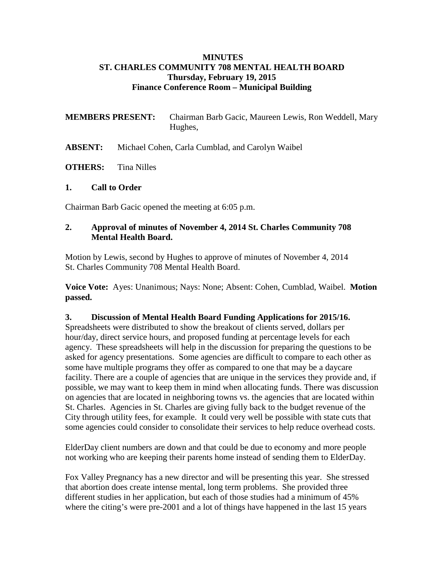#### **MINUTES ST. CHARLES COMMUNITY 708 MENTAL HEALTH BOARD Thursday, February 19, 2015 Finance Conference Room – Municipal Building**

**MEMBERS PRESENT:** Chairman Barb Gacic, Maureen Lewis, Ron Weddell, Mary Hughes,

**ABSENT:** Michael Cohen, Carla Cumblad, and Carolyn Waibel

**OTHERS:** Tina Nilles

#### **1. Call to Order**

Chairman Barb Gacic opened the meeting at 6:05 p.m.

#### **2. Approval of minutes of November 4, 2014 St. Charles Community 708 Mental Health Board.**

Motion by Lewis, second by Hughes to approve of minutes of November 4, 2014 St. Charles Community 708 Mental Health Board.

**Voice Vote:** Ayes: Unanimous; Nays: None; Absent: Cohen, Cumblad, Waibel. **Motion passed.**

## **3. Discussion of Mental Health Board Funding Applications for 2015/16.**

Spreadsheets were distributed to show the breakout of clients served, dollars per hour/day, direct service hours, and proposed funding at percentage levels for each agency. These spreadsheets will help in the discussion for preparing the questions to be asked for agency presentations. Some agencies are difficult to compare to each other as some have multiple programs they offer as compared to one that may be a daycare facility. There are a couple of agencies that are unique in the services they provide and, if possible, we may want to keep them in mind when allocating funds. There was discussion on agencies that are located in neighboring towns vs. the agencies that are located within St. Charles. Agencies in St. Charles are giving fully back to the budget revenue of the City through utility fees, for example. It could very well be possible with state cuts that some agencies could consider to consolidate their services to help reduce overhead costs.

ElderDay client numbers are down and that could be due to economy and more people not working who are keeping their parents home instead of sending them to ElderDay.

Fox Valley Pregnancy has a new director and will be presenting this year. She stressed that abortion does create intense mental, long term problems. She provided three different studies in her application, but each of those studies had a minimum of 45% where the citing's were pre-2001 and a lot of things have happened in the last 15 years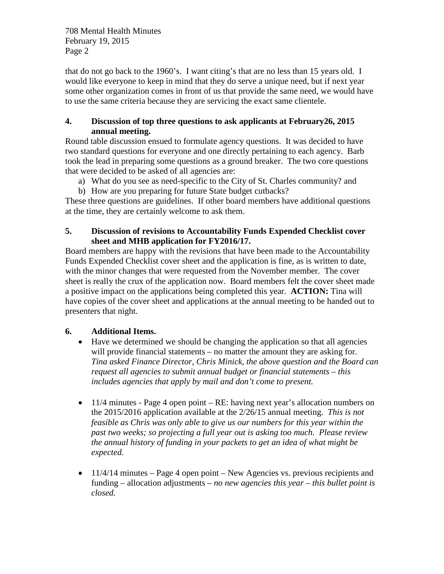708 Mental Health Minutes February 19, 2015 Page 2

that do not go back to the 1960's. I want citing's that are no less than 15 years old. I would like everyone to keep in mind that they do serve a unique need, but if next year some other organization comes in front of us that provide the same need, we would have to use the same criteria because they are servicing the exact same clientele.

## **4. Discussion of top three questions to ask applicants at February26, 2015 annual meeting.**

Round table discussion ensued to formulate agency questions. It was decided to have two standard questions for everyone and one directly pertaining to each agency. Barb took the lead in preparing some questions as a ground breaker. The two core questions that were decided to be asked of all agencies are:

- a) What do you see as need-specific to the City of St. Charles community? and
- b) How are you preparing for future State budget cutbacks?

These three questions are guidelines. If other board members have additional questions at the time, they are certainly welcome to ask them.

## **5. Discussion of revisions to Accountability Funds Expended Checklist cover sheet and MHB application for FY2016/17.**

Board members are happy with the revisions that have been made to the Accountability Funds Expended Checklist cover sheet and the application is fine, as is written to date, with the minor changes that were requested from the November member. The cover sheet is really the crux of the application now. Board members felt the cover sheet made a positive impact on the applications being completed this year. **ACTION:** Tina will have copies of the cover sheet and applications at the annual meeting to be handed out to presenters that night.

# **6. Additional Items.**

- Have we determined we should be changing the application so that all agencies will provide financial statements – no matter the amount they are asking for. *Tina asked Finance Director, Chris Minick, the above question and the Board can request all agencies to submit annual budget or financial statements – this includes agencies that apply by mail and don't come to present.*
- 11/4 minutes Page 4 open point RE: having next year's allocation numbers on the 2015/2016 application available at the 2/26/15 annual meeting. *This is not feasible as Chris was only able to give us our numbers for this year within the past two weeks; so projecting a full year out is asking too much. Please review the annual history of funding in your packets to get an idea of what might be expected.*
- $\bullet$  11/4/14 minutes Page 4 open point New Agencies vs. previous recipients and funding – allocation adjustments – *no new agencies this year – this bullet point is closed.*